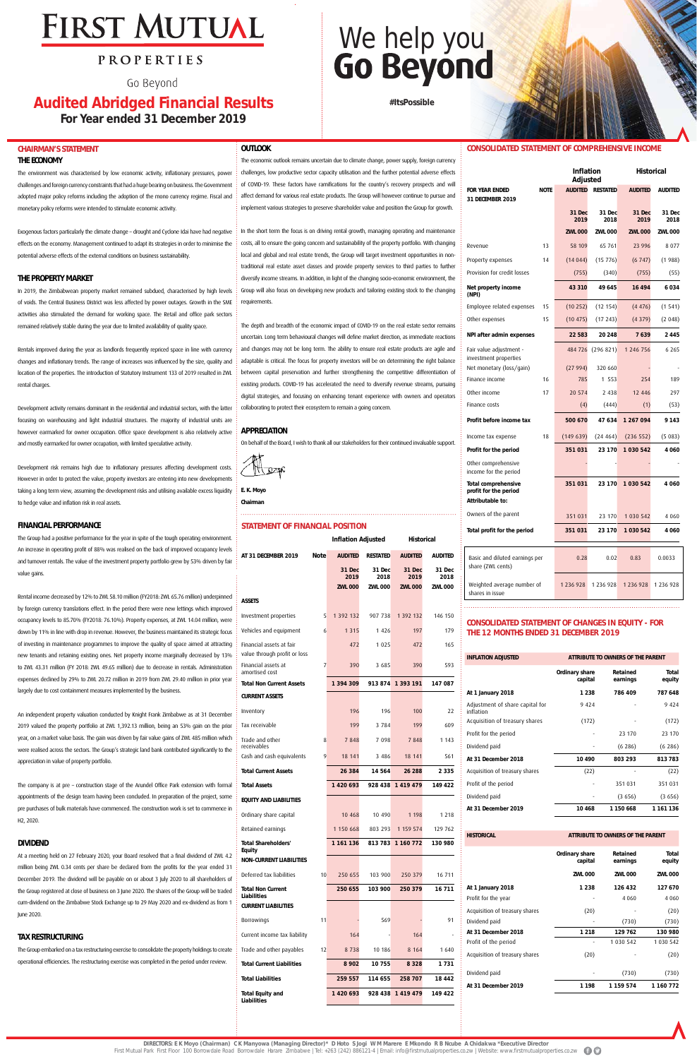# **FIRST MUTUAL**

### PROPERTIES

Go Bevond

## **Audited Abridged Financial Results For Year ended 31 December 2019**

**#ItsPossible**

## **CHAIRMAN'S STATEMENT**

#### **THE ECONOMY**

The environment was characterised by low economic activity, inflationary pressures, power challenges and foreign currency constraints that had a huge bearing on business. The Government adopted major policy reforms including the adoption of the mono currency regime. Fiscal and monetary policy reforms were intended to stimulate economic activity.

Exogenous factors particularly the climate change – drought and Cyclone Idai have had negative effects on the economy. Management continued to adapt its strategies in order to minimise the potential adverse effects of the external conditions on business sustainability.

#### **THE PROPERTY MARKET**

In 2019, the Zimbabwean property market remained subdued, characterised by high levels of voids. The Central Business District was less affected by power outages. Growth in the SME activities also stimulated the demand for working space. The Retail and office park sectors remained relatively stable during the year due to limited availability of quality space.

Rentals improved during the year as landlords frequently repriced space in line with currency changes and inflationary trends. The range of increases was influenced by the size, quality and location of the properties. The introduction of Statutory Instrument 133 of 2019 resulted in ZWL rental charges.

to ZWL 43.31 million (FY 2018: ZWL 49.65 million) due to decrease in rentals. Administration expenses declined by 29% to ZWL 20.72 million in 2019 from ZWL 29.40 million in prior year largely due to cost containment measures implemented by the business. Financial amortise **CURRENT** 

Development activity remains dominant in the residential and industrial sectors, with the latter focusing on warehousing and light industrial structures. The majority of industrial units are however earmarked for owner occupation. Office space development is also relatively active and mostly earmarked for owner occupation, with limited speculative activity.

An independent property valuation conducted by Knight Frank Zimbabwe as at 31 December 2019 valued the property portfolio at ZWL 1,392.13 million, being an 53% gain on the prior year, on a market value basis. The gain was driven by fair value gains of ZWL 485 million which were realised across the sectors. The Group's strategic land bank contributed significantly to the appreciation in value of property portfolio. Trade and receivabl

The company is at pre – construction stage of the Arundel Office Park extension with formal appointments of the design team having been concluded. In preparation of the project, some pre purchases of bulk materials have commenced. The construction work is set to commence in H2, 2020. **EQUITY A** 

Development risk remains high due to inflationary pressures affecting development costs. However in order to protect the value, property investors are entering into new developments taking a long term view, assuming the development risks and utilising available excess liquidity to hedge value and inflation risk in real assets.

#### **FINANCIAL PERFORMANCE**

The Group had a positive performance for the year in spite of the tough operating environment. An increase in operating profit of 88% was realised on the back of improved occupancy levels and turnover rentals. The value of the investment property portfolio grew by 53% driven by fair value gains.

Rental income decreased by 12% to ZWL 58.10 million (FY2018: ZWL 65.76 million) underpinned by foreign currency translations effect. In the period there were new lettings which improved occupancy levels to 85.70% (FY2018: 76.10%). Property expenses, at ZWL 14.04 million, were down by 11% in line with drop in revenue. However, the business maintained its strategic focus of investing in maintenance programmes to improve the quality of space aimed at attracting new tenants and retaining existing ones. Net property income marginally decreased by 13%

> **DIRECTORS: E K Moyo (Chairman) C K Manyowa (Managing Director)\* D Hoto S Jogi W M Marere E Mkondo R B Ncube A Chidakwa \*Executive Director**  First Mutual Park First Floor 100 Borrowdale Road Borrowdale Harare Zimbabwe | Tel: +263 (242) 886121-4 | Email: info@firstmutualproperties.co.zw | Website: www.firstmutualproperties.co.zw

#### **DIVIDEND**

At a meeting held on 27 February 2020, your Board resolved that a final dividend of ZWL 4.2 million being ZWL 0.34 cents per share be declared from the profits for the year ended 31 December 2019. The dividend will be payable on or about 3 July 2020 to all shareholders of the Group registered at close of business on 3 June 2020. The shares of the Group will be traded cum-dividend on the Zimbabwe Stock Exchange up to 29 May 2020 and ex-dividend as from 1 June 2020.

#### **TAX RESTRUCTURING**

The Group embarked on a tax restructuring exercise to consolidate the property holdings to create operational efficiencies. The restructuring exercise was completed in the period under review.

#### **OUTLOOK**

The economic outlook remains uncertain due to climate change, power supply, foreign currency challenges, low productive sector capacity utilisation and the further potential adverse effects of COVID-19. These factors have ramifications for the country's recovery prospects and will affect demand for various real estate products. The Group will however continue to pursue and implement various strategies to preserve shareholder value and position the Group for growth.

In the short term the focus is on driving rental growth, managing operating and maintenance costs, all to ensure the going concern and sustainability of the property portfolio. With changing local and global and real estate trends, the Group will target investment opportunities in nontraditional real estate asset classes and provide property services to third parties to further diversify income streams. In addition, in light of the changing socio-economic environment, the Group will also focus on developing new products and tailoring existing stock to the changing

requirements.

# We help you<br>Go Beyond

The depth and breadth of the economic impact of COVID-19 on the real estate sector remains uncertain. Long term behavioural changes will define market direction, as immediate reactions and changes may not be long term. The ability to ensure real estate products are agile and adaptable is critical. The focus for property investors will be on determining the right balance between capital preservation and further strengthening the competitive differentiation of existing products. COVID-19 has accelerated the need to diversify revenue streams, pursuing digital strategies, and focusing on enhancing tenant experience with owners and operators

collaborating to protect their ecosystem to remain a going concern.

**APPRECIATION**

On behalf of the Board, I wish to thank all our stakeholders for their continued invaluable support.

|  | E.K. Moyo |  |
|--|-----------|--|

**Chairman**

#### **STATEMENT OF FINANCIAL POSITION**

|                                                          |             | <b>Inflation Adjusted</b> |                 | <b>Historical</b> |                |  |
|----------------------------------------------------------|-------------|---------------------------|-----------------|-------------------|----------------|--|
| AT 31 DECEMBER 2019                                      | <b>Note</b> | <b>AUDITED</b>            | <b>RESTATED</b> | <b>AUDITED</b>    | <b>AUDITED</b> |  |
|                                                          |             | 31 Dec<br>2019            | 31 Dec<br>2018  | 31 Dec<br>2019    | 31 Dec<br>2018 |  |
|                                                          |             | <b>ZWL 000</b>            | <b>ZWL 000</b>  | <b>ZWL 000</b>    | <b>ZWL 000</b> |  |
| ASSETS                                                   |             |                           |                 |                   |                |  |
| Investment properties                                    | 5           | 1 392 132                 | 907 738         | 1 392 132         | 146 150        |  |
| Vehicles and equipment                                   | 6           | 1 3 1 5                   | 1 4 2 6         | 197               | 179            |  |
| Financial assets at fair<br>value through profit or loss |             | 472                       | 1 0 2 5         | 472               | 165            |  |

| 7  | 390       | 3 685              | 390       | 593                          |
|----|-----------|--------------------|-----------|------------------------------|
|    | 1 394 309 | 913874             | 1 393 191 | 147 087                      |
|    |           |                    |           |                              |
|    | 196       | 196                | 100       | 22                           |
|    | 199       | 3784               | 199       | 609                          |
|    | 7848      | 7 0 9 8            | 7848      | 1 1 4 3                      |
|    | 18 14 1   | 3 4 8 6            | 18 141    | 561                          |
|    | 26 384    | 14 564             | 26 288    | 2 3 3 5                      |
|    | 1420693   | 928 438            | 1419479   | 149 422                      |
|    |           |                    |           |                              |
|    | 10 4 68   | 10 490             | 1 1 9 8   | 1 2 1 8                      |
|    | 1 150 668 | 803 293            | 1 159 574 | 129 762                      |
|    | 1 161 136 |                    |           | 130 980                      |
|    |           |                    |           |                              |
|    | 250 655   | 103 900            | 250 379   | 16 711                       |
|    | 250 655   |                    | 250 379   | 16 711                       |
|    |           |                    |           |                              |
| 11 |           | 569                |           | 91                           |
|    | 164       |                    | 164       |                              |
|    | 8738      | 10 186             | 8 1 6 4   | 1 640                        |
|    | 8 9 0 2   | 10 755             | 8 3 2 8   | 1731                         |
|    | 259 557   | 114 655            | 258 707   | 18 442                       |
|    | 1420693   |                    | 1419479   | 149 422                      |
|    |           | 8<br>9<br>10<br>12 | 103 900   | 813 783 1 160 772<br>928 438 |

#### **CONSOLIDATED STATEMENT OF COMPREHENSIVE INCOME**

|                                                                         | <b>Inflation</b><br>Adjusted |                |                 | <b>Historical</b> |                |
|-------------------------------------------------------------------------|------------------------------|----------------|-----------------|-------------------|----------------|
| <b>FOR YEAR ENDED</b><br>31 DECEMBER 2019                               | <b>NOTF</b>                  | <b>AUDITED</b> | <b>RESTATED</b> | <b>AUDITED</b>    | <b>AUDITED</b> |
|                                                                         |                              | 31 Dec<br>2019 | 31 Dec<br>2018  | 31 Dec<br>2019    | 31 Dec<br>2018 |
|                                                                         |                              | <b>ZWL 000</b> | <b>ZWL 000</b>  | <b>ZWL 000</b>    | <b>ZWL 000</b> |
| Revenue                                                                 | 13                           | 58 109         | 65 761          | 23 996            | 8 0 7 7        |
| Property expenses                                                       | 14                           | (14044)        | (15776)         | (6747)            | (1988)         |
| Provision for credit losses                                             |                              | (755)          | (340)           | (755)             | (55)           |
| Net property income<br>(NPI)                                            |                              | 43 310         | 49 645          | 16 494            | 6034           |
| Employee related expenses                                               | 15                           | (10 252)       | (12 154)        | (4476)            | (1541)         |
| Other expenses                                                          | 15                           | (10 475)       | (17243)         | (4379)            | (2048)         |
| NPI after admin expenses                                                |                              | 22 583         | 20 248          | 7639              | 2445           |
| Fair value adjustment -<br>investment properties                        |                              | 484 726        | (296 821)       | 1 246 756         | 6 2 6 5        |
| Net monetary (loss/gain)                                                |                              | (27994)        | 320 660         |                   |                |
| Finance income                                                          | 16                           | 785            | 1 553           | 254               | 189            |
| Other income                                                            | 17                           | 20 574         | 2 4 3 8         | 12 446            | 297            |
| Finance costs                                                           |                              | (4)            | (444)           | (1)               | (53)           |
| Profit before income tax                                                |                              | 500 670        | 47 634          | 1 267 094         | 9 143          |
| Income tax expense                                                      | 18                           | (149639)       | (24464)         | (236 552)         | (5083)         |
| Profit for the period                                                   |                              | 351 031        | 23 170          | 1 030 542         | 4060           |
| Other comprehensive<br>income for the period                            |                              |                |                 |                   |                |
| <b>Total comprehensive</b><br>profit for the period<br>Attributable to: |                              | 351 031        | 23 170          | 1 030 542         | 4060           |
| Owners of the parent                                                    |                              | 351 031        | 23 170          | 1 0 3 0 5 4 2     | 4 060          |
| Total profit for the period                                             |                              | 351031         | 23 170          | 1 030 542         | 4 0 6 0        |
| Basic and diluted earnings per<br>share (ZWL cents)                     |                              | 0.28           | 0.02            | 0.83              | 0.0033         |
| Weighted average number of<br>shares in issue                           |                              | 1 2 3 6 9 2 8  | 1 2 3 6 9 2 8   | 1 2 3 6 9 2 8     | 1 236 928      |

#### **CONSOLIDATED STATEMENT OF CHANGES IN EQUITY - FOR THE 12 MONTHS ENDED 31 DECEMBER 2019**

| Ordinary share<br>capital<br>1 2 3 8 | Retained<br>earnings<br>786 409 | Total<br>equity                   |
|--------------------------------------|---------------------------------|-----------------------------------|
|                                      |                                 |                                   |
|                                      |                                 | 787 648                           |
| 9 4 2 4                              |                                 | 9 4 2 4                           |
| (172)                                |                                 | (172)                             |
|                                      | 23 170                          | 23 170                            |
|                                      | (6286)                          | (6286)                            |
| 10 490                               | 803 293                         | 813783                            |
| (22)                                 |                                 | (22)                              |
|                                      | 351 031                         | 351 031                           |
|                                      | (3656)                          | (3656)                            |
| 10 4 68                              | 1 150 668                       | 1 161 136                         |
| Ordinary share<br>capital            | Retained<br>earnings            | Total<br>equity                   |
| <b>ZWL 000</b>                       | <b>ZWL 000</b>                  | <b>ZWL 000</b>                    |
| 1 2 3 8                              | 126 432                         | 127 670                           |
|                                      | 4 0 6 0                         | 4 0 6 0                           |
| (20)                                 |                                 | (20)                              |
|                                      | (730)                           | (730)                             |
| 1 2 1 8                              | 129 762                         | 130 980                           |
|                                      | 1 030 542                       | 1 030 542                         |
| (20)                                 |                                 | (20)                              |
|                                      | (730)                           | (730)                             |
| 1 1 9 8                              | 1 159 574                       | 1 160 772                         |
|                                      |                                 | ATTRIBUTE TO OWNERS OF THE PARENT |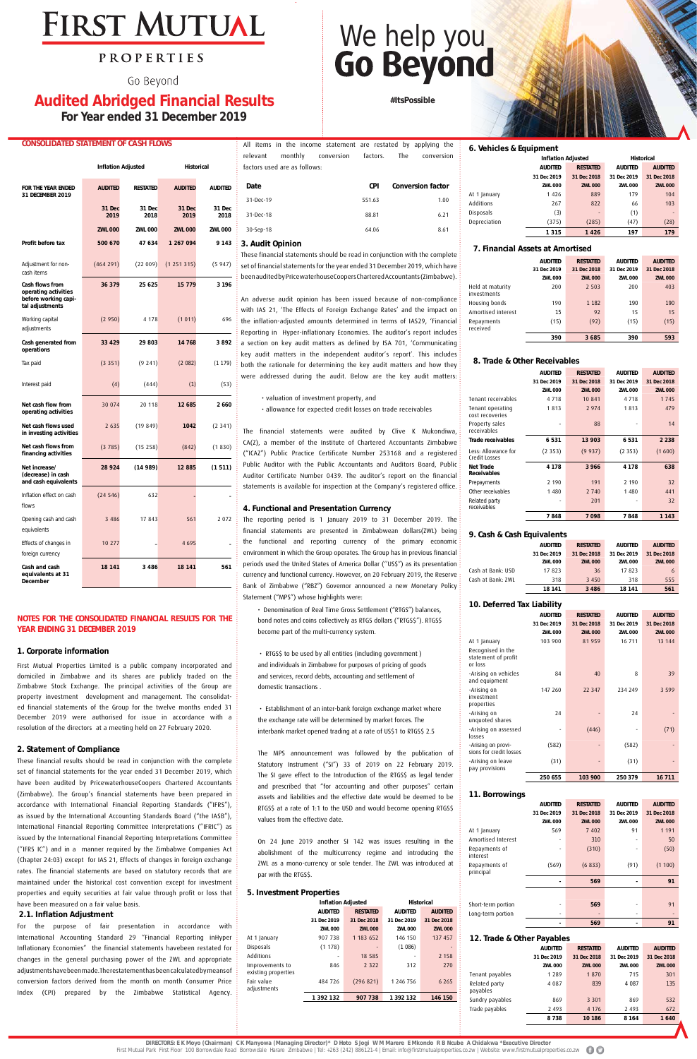# **FIRST MUTUAL**

### PROPERTIES

Go Beyond

### **Audited Abridged Financial Results For Year ended 31 December 2019**

**#ItsPossible**

#### **CONSOLIDATED STATEMENT OF CASH FLOWS**

|                                                                                    |                | <b>Inflation Adjusted</b> | <b>Historical</b> |                |  |
|------------------------------------------------------------------------------------|----------------|---------------------------|-------------------|----------------|--|
| <b>FOR THE YEAR ENDED</b><br>31 DECEMBER 2019                                      | <b>AUDITED</b> | <b>RESTATED</b>           | <b>AUDITED</b>    | <b>AUDITED</b> |  |
|                                                                                    | 31 Dec<br>2019 | 31 Dec<br>2018            | 31 Dec<br>2019    | 31 Dec<br>2018 |  |
|                                                                                    | <b>ZWL 000</b> | <b>ZWL 000</b>            | <b>ZWL 000</b>    | <b>ZWL 000</b> |  |
| Profit before tax                                                                  | 500 670        | 47 634                    | 1 267 094         | 9 1 4 3        |  |
| Adjustment for non-<br>cash items                                                  | (464 291)      | (22 009)                  | (1251315)         | (5947)         |  |
| Cash flows from<br>operating activities<br>before working capi-<br>tal adjustments | 36 379         | 25 6 25                   | 15 7 7 9          | 3 196          |  |
| Working capital<br>adjustments                                                     | (2950)         | 4 1 7 8                   | (1011)            | 696            |  |
| Cash generated from<br>operations                                                  | 33 4 29        | 29 803                    | 14 768            | 3892           |  |
| Tax paid                                                                           | (3351)         | (9241)                    | (2082)            | (1179)         |  |
| Interest paid                                                                      | (4)            | (444)                     | (1)               | (53)           |  |
| Net cash flow from<br>operating activities                                         | 30 074         | 20 118                    | 12 685            | 2660           |  |
| Net cash flows used<br>in investing activities                                     | 2 6 3 5        | (19849)                   | 1042              | (2341)         |  |
| Net cash flows from<br>financing activities                                        | (3785)         | (15258)                   | (842)             | (1830)         |  |
| Net increase/<br>(decrease) in cash<br>and cash equivalents                        | 28 924         | (14989)                   | 12885             | (1511)         |  |
| Inflation effect on cash<br>flows                                                  | (24546)        | 632                       |                   |                |  |
| Opening cash and cash<br>equivalents                                               | 3 4 8 6        | 17 843                    | 561               | 2072           |  |
| Effects of changes in<br>foreign currency                                          | 10 277         |                           | 4 6 9 5           |                |  |
| Cash and cash<br>equivalents at 31<br>December                                     | 18 14 1        | 3 4 8 6                   | 18 141            | 561            |  |

#### **NOTES FOR THE CONSOLIDATED FINANCIAL RESULTS FOR THE YEAR ENDING 31 DECEMBER 2019**

#### **1. Corporate information**

First Mutual Properties Limited is a public company incorporated and domiciled in Zimbabwe and its shares are publicly traded on the Zimbabwe Stock Exchange. The principal activities of the Group are property investment development and management. The consolidated financial statements of the Group for the twelve months ended 31 December 2019 were authorised for issue in accordance with a resolution of the directors at a meeting held on 27 February 2020.

#### **2. Statement of Compliance**

These financial results should be read in conjunction with the complete set of financial statements for the year ended 31 December 2019, which have been audited by PricewaterhouseCoopers Chartered Accountants (Zimbabwe). The Group's financial statements have been prepared in accordance with International Financial Reporting Standards ("IFRS"), as issued by the International Accounting Standards Board ("the IASB"), International Financial Reporting Committee Interpretations ("IFRIC") as issued by the International Financial Reporting Interpretations Committee ("IFRS IC") and in a manner required by the Zimbabwe Companies Act (Chapter 24:03) except for IAS 21, Effects of changes in foreign exchange rates. The financial statements are based on statutory records that are maintained under the historical cost convention except for investment properties and equity securities at fair value through profit or loss that have been measured on a fair value basis.

#### **2.1. Inflation Adjustment**

For the purpose of fair presentation in accordance with International Accounting Standard 29 "Financial Reporting inHyper Inflationary Economies" the financial statements havebeen restated for changes in the general purchasing power of the ZWL and appropriate adjustments have been made.The restatement has been calculated by means of conversion factors derived from the month on month Consumer Price Index (CPI) prepared by the Zimbabwe Statistical Agency.

#### **5. Investment Properties**

|                                        | <b>Inflation Adjusted</b> |                 | <b>Historical</b> |                |  |
|----------------------------------------|---------------------------|-----------------|-------------------|----------------|--|
|                                        | <b>AUDITED</b>            | <b>RESTATED</b> | <b>AUDITED</b>    | <b>AUDITED</b> |  |
|                                        | 31 Dec 2019               | 31 Dec 2018     | 31 Dec 2019       | 31 Dec 2018    |  |
|                                        | <b>ZWL 000</b>            | <b>ZWL 000</b>  | <b>ZWL 000</b>    | <b>ZWL 000</b> |  |
| At 1 January                           | 907 738                   | 1 183 652       | 146 150           | 137 457        |  |
| Disposals                              | (1178)                    |                 | (1086)            |                |  |
| Additions                              |                           | 18 5 8 5        | ٠                 | 2 1 5 8        |  |
| Improvements to<br>existing properties | 846                       | 2 3 2 2         | 312               | 270            |  |
| Fair value<br>adjustments              | 484 726                   | (296 821)       | 1 246 756         | 6 2 6 5        |  |
|                                        | 1 392 132                 | 907 738         | 1 392 132         | 146 150        |  |
|                                        |                           |                 |                   |                |  |

#### **3. Audit Opinion**

These financial statements should be read in conjunction with the complete set of financial statements for the year ended 31 December 2019, which have been audited by PricewaterhouseCoopers Chartered Accountants (Zimbabwe).

On 24 June 2019 another SI 142 was issues resulting in the abolishment of the multicurrency regime and introducing the ZWL as a mono-currency or sole tender. The ZWL was introduced at par with the RTGS\$.

An adverse audit opinion has been issued because of non-compliance with IAS 21, 'The Effects of Foreign Exchange Rates' and the impact on the inflation-adjusted amounts determined in terms of IAS29, 'Financial Reporting in Hyper-inflationary Economies. The auditor's report includes a section on key audit matters as defined by ISA 701, 'Communicating key audit matters in the independent auditor's report'. This includes both the rationale for determining the key audit matters and how they were addressed during the audit. Below are the key audit matters:

• valuation of investment property, and • allowance for expected credit losses on trade receivables

The financial statements were audited by Clive K Mukondiwa, CA(Z), a member of the Institute of Chartered Accountants Zimbabwe ("ICAZ") Public Practice Certificate Number 253168 and a registered Public Auditor with the Public Accountants and Auditors Board, Public Auditor Certificate Number 0439. The auditor's report on the financial statements is available for inspection at the Company's registered office.

#### **4. Functional and Presentation Currency**

The reporting period is 1 January 2019 to 31 December 2019. The financial statements are presented in Zimbabwean dollars(ZWL) being the functional and reporting currency of the primary economic environment in which the Group operates. The Group has in previous financial periods used the United States of America Dollar (''US\$") as its presentation currency and functional currency. However, on 20 February 2019, the Reserve Bank of Zimbabwe ("RBZ") Governor announced a new Monetary Policy Statement ("MPS") whose highlights were:

| Date      | <b>CPI</b> | <b>Conversion factor</b> |
|-----------|------------|--------------------------|
| 31-Dec-19 | 551.63     | 1.00                     |
| 31-Dec-18 | 88.81      | 6.21                     |
| 30-Sep-18 | 64.06      | 8.61                     |

#### **6. Vehicles & Equipment**

|              | <b>Inflation Adjusted</b>         |                | <b>Historical</b> |                |  |
|--------------|-----------------------------------|----------------|-------------------|----------------|--|
|              | <b>AUDITED</b><br><b>RESTATED</b> |                | <b>AUDITED</b>    | <b>AUDITED</b> |  |
|              | 31 Dec 2019                       | 31 Dec 2018    | 31 Dec 2019       | 31 Dec 2018    |  |
|              | <b>ZWL 000</b>                    | <b>ZWL 000</b> | <b>ZWL 000</b>    | <b>ZWL 000</b> |  |
| At 1 January | 1426                              | 889            | 179               | 104            |  |
| Additions    | 267                               | 822            | 66                | 103            |  |
| Disposals    | (3)                               |                | (1)               |                |  |
| Depreciation | (375)                             | (285)          | (47)              | (28)           |  |
|              | 1315                              | 1426           | 197               | 179            |  |

#### **7. Financial Assets at Amortised**

|                                 | <b>AUDITED</b> | <b>RESTATED</b> | <b>AUDITED</b> | <b>AUDITED</b> |
|---------------------------------|----------------|-----------------|----------------|----------------|
|                                 | 31 Dec 2019    | 31 Dec 2018     | 31 Dec 2019    | 31 Dec 2018    |
|                                 | <b>ZWL 000</b> | <b>ZWL 000</b>  | <b>ZWL 000</b> | <b>ZWL 000</b> |
| Held at maturity<br>investments | 200            | 2 5 0 3         | 200            | 403            |
| Housing bonds                   | 190            | 1 1 8 2         | 190            | 190            |
| Amortised interest              | 15             | 92              | 15             | 15             |
| Repayments<br>received          | (15)           | (92)            | (15)           | (15)           |
|                                 | 390            | 3685            | 390            | 593            |

#### **8. Trade & Other Receivables**

|                                      | <b>AUDITED</b> | <b>RESTATED</b> | <b>AUDITED</b> | <b>AUDITED</b> |
|--------------------------------------|----------------|-----------------|----------------|----------------|
|                                      | 31 Dec 2019    | 31 Dec 2018     | 31 Dec 2019    | 31 Dec 2018    |
|                                      | <b>ZWL 000</b> | <b>ZWL 000</b>  | <b>ZWL 000</b> | <b>ZWL 000</b> |
| Tenant receivables                   | 4 7 1 8        | 10 841          | 4 7 1 8        | 1745           |
| Tenant operating<br>cost recoveries  | 1813           | 2 9 7 4         | 1813           | 479            |
| Property sales<br>receivables        |                | 88              |                | 14             |
| Trade receivables                    | 6531           | 13 903          | 6531           | 2 2 3 8        |
| Less: Allowance for<br>Credit Losses | (2353)         | (9937)          | (2353)         | (1600)         |
| Net Trade<br><b>Receivables</b>      | 4 1 7 8        | 3966            | 4 1 7 8        | 638            |
| Prepayments                          | 2 190          | 191             | 2 1 9 0        | 32             |
| Other receivables                    | 1 4 8 0        | 2 740           | 1480           | 441            |
| Related party<br>receivables         |                | 201             |                | 32             |
|                                      | 7848           | 7098            | 7848           | 1 1 4 3        |

• Denomination of Real Time Gross Settlement ("RTGS") balances, bond notes and coins collectively as RTGS dollars ("RTGS\$"). RTGS\$ become part of the multi-currency system.

• RTGS\$ to be used by all entities (including government )

# We help you<br>Go Beyond

and individuals in Zimbabwe for purposes of pricing of goods and services, record debts, accounting and settlement of domestic transactions .

 • Establishment of an inter-bank foreign exchange market where the exchange rate will be determined by market forces. The interbank market opened trading at a rate of US\$1 to RTGS\$ 2.5

The MPS announcement was followed by the publication of Statutory Instrument ("SI") 33 of 2019 on 22 February 2019. The SI gave effect to the Introduction of the RTGS\$ as legal tender and prescribed that "for accounting and other purposes" certain assets and liabilities and the effective date would be deemed to be RTGS\$ at a rate of 1:1 to the USD and would become opening RTGS\$ values from the effective date.

#### **10. Deferred Tax Liability**

| IV. DEIEITEU TAA LIADIIITY                          |                |                 |                |                |
|-----------------------------------------------------|----------------|-----------------|----------------|----------------|
|                                                     | <b>AUDITED</b> | <b>RESTATED</b> | <b>AUDITED</b> | <b>AUDITED</b> |
|                                                     | 31 Dec 2019    | 31 Dec 2018     | 31 Dec 2019    | 31 Dec 2018    |
|                                                     | <b>ZWL 000</b> | <b>ZWL 000</b>  | <b>ZWL 000</b> | <b>ZWL 000</b> |
| At 1 January                                        | 103 900        | 81959           | 16 711         | 13 144         |
| Recognised in the<br>statement of profit<br>or loss |                |                 |                |                |
| -Arising on vehicles<br>and equipment               | 84             | 40              | 8              | 39             |
| -Arising on<br>investment<br>properties             | 147 260        | 22 3 4 7        | 234 249        | 3 5 9 9        |
| -Arising on<br>unquoted shares                      | 24             |                 | 24             |                |
| -Arising on assessed<br>losses                      |                | (446)           |                | (71)           |
| -Arising on provi-<br>sions for credit losses       | (582)          | -               | (582)          |                |
| -Arising on leave<br>pay provisions                 | (31)           |                 | (31)           |                |
|                                                     | 250 655        | 103 900         | 250 379        | 16 711         |

#### **11. Borrowings**

|                            | <b>AUDITED</b> | <b>RESTATED</b> | <b>AUDITED</b>           | <b>AUDITED</b> |
|----------------------------|----------------|-----------------|--------------------------|----------------|
|                            | 31 Dec 2019    | 31 Dec 2018     | 31 Dec 2019              | 31 Dec 2018    |
|                            | <b>ZWL 000</b> | <b>ZWL 000</b>  | <b>ZWL 000</b>           | <b>ZWL 000</b> |
| At 1 January               | 569            | 7 402           | 91                       | 1 1 9 1        |
| Amortised Interest         |                | 310             |                          | 50             |
| Repayments of<br>interest  |                | (310)           |                          | (50)           |
| Repayments of<br>principal | (569)          | (6833)          | (91)                     | (1100)         |
|                            |                | 569             |                          | 91             |
|                            |                |                 |                          |                |
| Short-term portion         |                | 569             |                          | 91             |
| Long-term portion          | -              |                 | $\overline{\phantom{0}}$ |                |
|                            |                | 569             |                          | 91             |

#### **9. Cash & Cash Equivalents**

|                   | <b>AUDITED</b> | <b>RESTATED</b> | <b>AUDITED</b> | <b>AUDITED</b> |
|-------------------|----------------|-----------------|----------------|----------------|
|                   | 31 Dec 2019    | 31 Dec 2018     | 31 Dec 2019    | 31 Dec 2018    |
|                   | <b>ZWL 000</b> | <b>ZWL 000</b>  | <b>ZWL 000</b> | <b>ZWL 000</b> |
| Cash at Bank: USD | 17823          | 36              | 17823          | 6              |
| Cash at Bank: ZWL | 318            | 3 4 5 0         | 318            | 555            |
|                   | 18 14 1        | 3486            | 18 141         | 561            |

#### **12. Trade & Other Payables**

|                           | <b>AUDITED</b> | <b>RESTATED</b> | <b>AUDITED</b> | <b>AUDITED</b> |
|---------------------------|----------------|-----------------|----------------|----------------|
|                           | 31 Dec 2019    | 31 Dec 2018     | 31 Dec 2019    | 31 Dec 2018    |
|                           | <b>ZWL 000</b> | <b>ZWL 000</b>  | <b>ZWL 000</b> | <b>ZWL 000</b> |
| Tenant payables           | 1 2 8 9        | 1870            | 715            | 301            |
| Related party<br>payables | 4 0 8 7        | 839             | 4 0 8 7        | 135            |
| Sundry payables           | 869            | 3 3 0 1         | 869            | 532            |
| Trade payables            | 2 4 9 3        | 4 1 7 6         | 2 4 9 3        | 672            |
|                           | 8738           | 10 186          | 8 1 6 4        | 1640           |

**DIRECTORS: E K Moyo (Chairman) C K Manyowa (Managing Director)\* D Hoto S Jogi W M Marere E Mkondo R B Ncube A Chidakwa \*Executive Director** 

First Mutual Park First Floor 100 Borrowdale Road Borrowdale Harare Zimbabwe | Tel: +263 (242) 886121-4 | Email: info@firstmutualproperties.co.zw | Website: www.firstmutualproperties.co.zw

All items in the income statement are restated by applying the relevant monthly conversion factors. The conversion factors used are as follows: